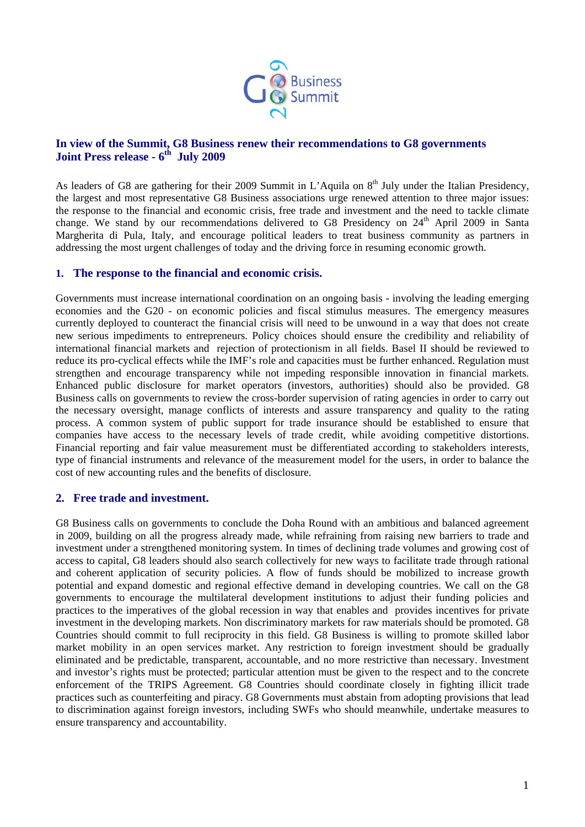

## **In view of the Summit, G8 Business renew their recommendations to G8 governments Joint Press release - 6th July 2009**

As leaders of G8 are gathering for their 2009 Summit in L'Aquila on 8<sup>th</sup> July under the Italian Presidency. the largest and most representative G8 Business associations urge renewed attention to three major issues: the response to the financial and economic crisis, free trade and investment and the need to tackle climate change. We stand by our recommendations delivered to G8 Presidency on  $24<sup>th</sup>$  April 2009 in Santa Margherita di Pula, Italy, and encourage political leaders to treat business community as partners in addressing the most urgent challenges of today and the driving force in resuming economic growth.

## **1. The response to the financial and economic crisis.**

Governments must increase international coordination on an ongoing basis - involving the leading emerging economies and the G20 - on economic policies and fiscal stimulus measures. The emergency measures currently deployed to counteract the financial crisis will need to be unwound in a way that does not create new serious impediments to entrepreneurs. Policy choices should ensure the credibility and reliability of international financial markets and rejection of protectionism in all fields. Basel II should be reviewed to reduce its pro-cyclical effects while the IMF's role and capacities must be further enhanced. Regulation must strengthen and encourage transparency while not impeding responsible innovation in financial markets. Enhanced public disclosure for market operators (investors, authorities) should also be provided. G8 Business calls on governments to review the cross-border supervision of rating agencies in order to carry out the necessary oversight, manage conflicts of interests and assure transparency and quality to the rating process. A common system of public support for trade insurance should be established to ensure that companies have access to the necessary levels of trade credit, while avoiding competitive distortions. Financial reporting and fair value measurement must be differentiated according to stakeholders interests, type of financial instruments and relevance of the measurement model for the users, in order to balance the cost of new accounting rules and the benefits of disclosure.

## **2. Free trade and investment.**

G8 Business calls on governments to conclude the Doha Round with an ambitious and balanced agreement in 2009, building on all the progress already made, while refraining from raising new barriers to trade and investment under a strengthened monitoring system. In times of declining trade volumes and growing cost of access to capital, G8 leaders should also search collectively for new ways to facilitate trade through rational and coherent application of security policies. A flow of funds should be mobilized to increase growth potential and expand domestic and regional effective demand in developing countries. We call on the G8 governments to encourage the multilateral development institutions to adjust their funding policies and practices to the imperatives of the global recession in way that enables and provides incentives for private investment in the developing markets. Non discriminatory markets for raw materials should be promoted. G8 Countries should commit to full reciprocity in this field. G8 Business is willing to promote skilled labor market mobility in an open services market. Any restriction to foreign investment should be gradually eliminated and be predictable, transparent, accountable, and no more restrictive than necessary. Investment and investor's rights must be protected; particular attention must be given to the respect and to the concrete enforcement of the TRIPS Agreement. G8 Countries should coordinate closely in fighting illicit trade practices such as counterfeiting and piracy. G8 Governments must abstain from adopting provisions that lead to discrimination against foreign investors, including SWFs who should meanwhile, undertake measures to ensure transparency and accountability.